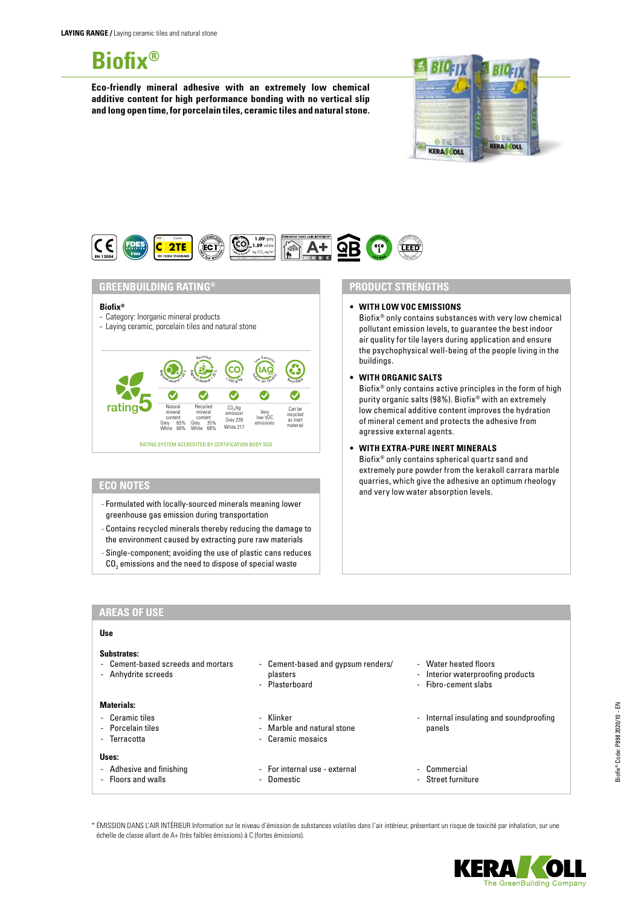# **Biofix®**

**Eco-friendly mineral adhesive with an extremely low chemical additive content for high performance bonding with no vertical slip and long open time, for porcelain tiles, ceramic tiles and natural stone.**





## **GREENBUILDING RATING®**

#### **Biofix®**

- Category: Inorganic mineral products
- Laying ceramic, porcelain tiles and natural stone



#### **ECO NOTES**

- Formulated with locally-sourced minerals meaning lower greenhouse gas emission during transportation
- Contains recycled minerals thereby reducing the damage to the environment caused by extracting pure raw materials
- Single-component; avoiding the use of plastic cans reduces CO<sub>2</sub> emissions and the need to dispose of special waste

# **PRODUCT STRENGTHS**

**• WITH LOW VOC EMISSIONS**

Biofix® only contains substances with very low chemical pollutant emission levels, to guarantee the best indoor air quality for tile layers during application and ensure the psychophysical well-being of the people living in the buildings.

**• WITH ORGANIC SALTS**

Biofix® only contains active principles in the form of high purity organic salts (98%). Biofix® with an extremely low chemical additive content improves the hydration of mineral cement and protects the adhesive from agressive external agents.

**• WITH EXTRA-PURE INERT MINERALS**

Biofix® only contains spherical quartz sand and extremely pure powder from the kerakoll carrara marble quarries, which give the adhesive an optimum rheology and very low water absorption levels.

#### **AREAS OF USE**

## **Use**

### **Substrates:**

- Cement-based screeds and mortars
- Anhydrite screeds

# **Materials:**

- Ceramic tiles
- Porcelain tiles
- Terracotta
	-
- 

# **Uses:**

- Adhesive and finishing
- Floors and walls
- Cement-based and gypsum renders/ plasters
- **Plasterboard**
- 
- Klinker
- Marble and natural stone
- Ceramic mosaics
- For internal use external
- Domestic
- Water heated floors
- Interior waterproofing products
- Fibro-cement slabs
- Internal insulating and soundproofing panels
- Commercial
- Street furniture

\* ÉMISSION DANS L'AIR INTÉRIEUR Information sur le niveau d'émission de substances volatiles dans l'air intérieur, présentant un risque de toxicité par inhalation, sur une échelle de classe allant de A+ (très faibles émissions) à C (fortes émissions).

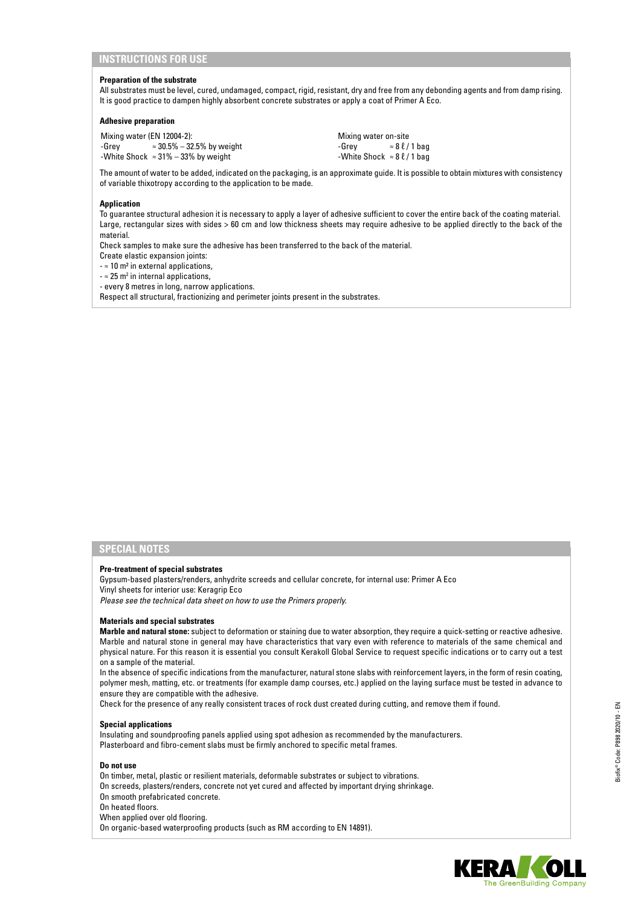# **INSTRUCTIONS FOR USE**

#### **Preparation of the substrate**

All substrates must be level, cured, undamaged, compact, rigid, resistant, dry and free from any debonding agents and from damp rising. It is good practice to dampen highly absorbent concrete substrates or apply a coat of Primer A Eco.

#### **Adhesive preparation**

Mixing water (EN 12004-2): -Grey ≈ 30.5% – 32.5% by weight -White Shock ≈ 31% – 33% by weight

Mixing water on-site  $-Grey$  ≈ 8  $\ell$  / 1 bag -White Shock  $\approx 8\ell/1$  bag

The amount of water to be added, indicated on the packaging, is an approximate guide. It is possible to obtain mixtures with consistency of variable thixotropy according to the application to be made.

#### **Application**

To guarantee structural adhesion it is necessary to apply a layer of adhesive sufficient to cover the entire back of the coating material. Large, rectangular sizes with sides > 60 cm and low thickness sheets may require adhesive to be applied directly to the back of the material.

Check samples to make sure the adhesive has been transferred to the back of the material.

Create elastic expansion joints:

- ≈ 10 m² in external applications,

 $\approx$  25 m<sup>2</sup> in internal applications,

- every 8 metres in long, narrow applications.

Respect all structural, fractionizing and perimeter joints present in the substrates.

# **SPECIAL NOTES**

#### **Pre-treatment of special substrates**

Gypsum-based plasters/renders, anhydrite screeds and cellular concrete, for internal use: Primer A Eco Vinyl sheets for interior use: Keragrip Eco *Please see the technical data sheet on how to use the Primers properly.*

#### **Materials and special substrates**

**Marble and natural stone:** subject to deformation or staining due to water absorption, they require a quick-setting or reactive adhesive. Marble and natural stone in general may have characteristics that vary even with reference to materials of the same chemical and physical nature. For this reason it is essential you consult Kerakoll Global Service to request specific indications or to carry out a test on a sample of the material.

In the absence of specific indications from the manufacturer, natural stone slabs with reinforcement layers, in the form of resin coating, polymer mesh, matting, etc. or treatments (for example damp courses, etc.) applied on the laying surface must be tested in advance to ensure they are compatible with the adhesive.

Check for the presence of any really consistent traces of rock dust created during cutting, and remove them if found.

#### **Special applications**

Insulating and soundproofing panels applied using spot adhesion as recommended by the manufacturers. Plasterboard and fibro-cement slabs must be firmly anchored to specific metal frames.

#### **Do not use**

On timber, metal, plastic or resilient materials, deformable substrates or subject to vibrations.

On screeds, plasters/renders, concrete not yet cured and affected by important drying shrinkage.

- On smooth prefabricated concrete.
- On heated floors.
- When applied over old flooring.
- On organic-based waterproofing products (such as RM according to EN 14891).